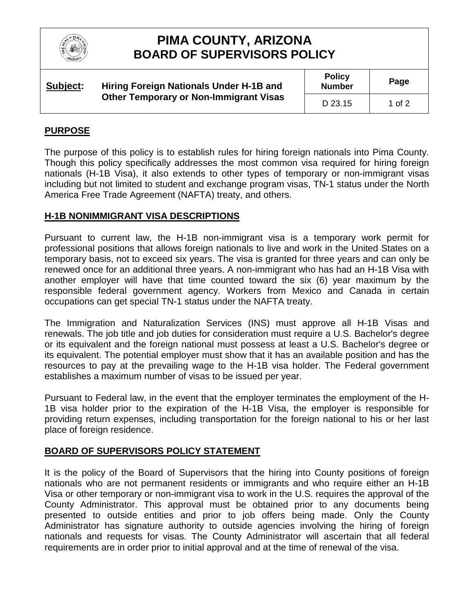

# **PIMA COUNTY, ARIZONA BOARD OF SUPERVISORS POLICY**

| Subject: | Hiring Foreign Nationals Under H-1B and<br><b>Other Temporary or Non-Immigrant Visas</b> | <b>Policy</b><br><b>Number</b> | Page   |
|----------|------------------------------------------------------------------------------------------|--------------------------------|--------|
|          |                                                                                          | D 23.15                        | 1 of 2 |

### **PURPOSE**

The purpose of this policy is to establish rules for hiring foreign nationals into Pima County. Though this policy specifically addresses the most common visa required for hiring foreign nationals (H-1B Visa), it also extends to other types of temporary or non-immigrant visas including but not limited to student and exchange program visas, TN-1 status under the North America Free Trade Agreement (NAFTA) treaty, and others.

#### **H-1B NONIMMIGRANT VISA DESCRIPTIONS**

Pursuant to current law, the H-1B non-immigrant visa is a temporary work permit for professional positions that allows foreign nationals to live and work in the United States on a temporary basis, not to exceed six years. The visa is granted for three years and can only be renewed once for an additional three years. A non-immigrant who has had an H-1B Visa with another employer will have that time counted toward the six (6) year maximum by the responsible federal government agency. Workers from Mexico and Canada in certain occupations can get special TN-1 status under the NAFTA treaty.

The Immigration and Naturalization Services (INS) must approve all H-1B Visas and renewals. The job title and job duties for consideration must require a U.S. Bachelor's degree or its equivalent and the foreign national must possess at least a U.S. Bachelor's degree or its equivalent. The potential employer must show that it has an available position and has the resources to pay at the prevailing wage to the H-1B visa holder. The Federal government establishes a maximum number of visas to be issued per year.

Pursuant to Federal law, in the event that the employer terminates the employment of the H-1B visa holder prior to the expiration of the H-1B Visa, the employer is responsible for providing return expenses, including transportation for the foreign national to his or her last place of foreign residence.

#### **BOARD OF SUPERVISORS POLICY STATEMENT**

It is the policy of the Board of Supervisors that the hiring into County positions of foreign nationals who are not permanent residents or immigrants and who require either an H-1B Visa or other temporary or non-immigrant visa to work in the U.S. requires the approval of the County Administrator. This approval must be obtained prior to any documents being presented to outside entities and prior to job offers being made. Only the County Administrator has signature authority to outside agencies involving the hiring of foreign nationals and requests for visas. The County Administrator will ascertain that all federal requirements are in order prior to initial approval and at the time of renewal of the visa.